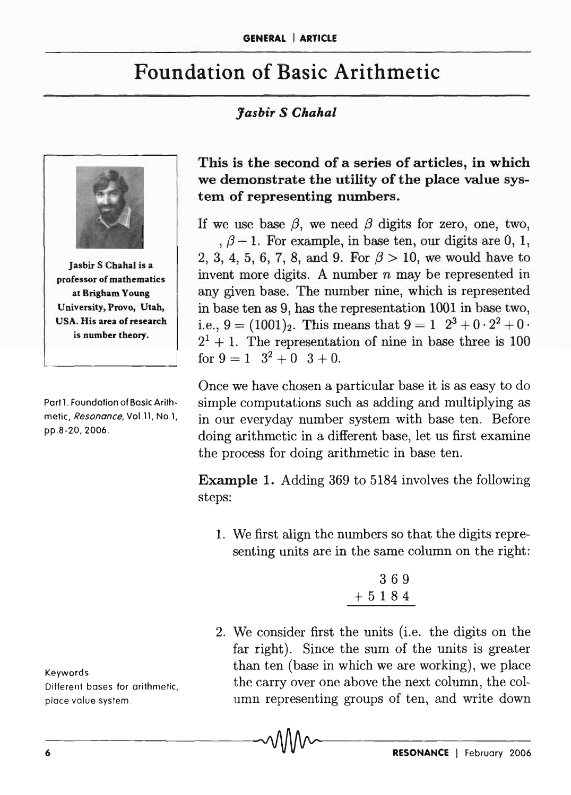# Foundation of Basic Arithmetic

## *Jasbir* S *Chahal*



**Jasbir S Chahal is a** professor of mathematics at Brigham Young University, Provo, Utah, USA. His area of research is number theory.

Part 1. Foundation of Basic Arithmetic, Resonance, Vol. 11, No.1, pp.8-20, 2006.

Keywords Different bases for arithmetic, place value system.

This is the second of a series of articles, in which we demonstrate the utility of the place value system of representing numbers.

If we use base  $\beta$ , we need  $\beta$  digits for zero, one, two,  $, \beta - 1$ . For example, in base ten, our digits are 0, 1, 2, 3, 4, 5, 6, 7, 8, and 9. For  $\beta > 10$ , we would have to invent more digits. A number *n* may be represented in any given base. The number nine, which is represented in base ten as 9, has the representation 1001 in base two, i.e.,  $9 = (1001)_2$ . This means that  $9 = 1 \ 2^3 + 0 \cdot 2^2 + 0$ .  $2<sup>1</sup> + 1$ . The representation of nine in base three is 100 for  $9 = 1$   $3^2 + 0$   $3 + 0$ .

Once we have chosen a particular base it is as easy to do simple computations such as adding and multiplying as in our everyday number system with base ten. Before doing arithmetic in a different base, let us first examine the process for doing arithmetic in base ten.

Example 1. Adding 369 to 5184 involves the following steps:

1. We first align the numbers so that the digits representing units are in the same column on the right:

$$
\begin{smallmatrix}&&3&6&9\\4&5&1&8&4\end{smallmatrix}
$$

2. We consider first the units (i.e. the digits on the far right). Since the sum of the units is greater than ten (base in which we are working), we place the carry over one above the next column, the column representing groups of ten, and write down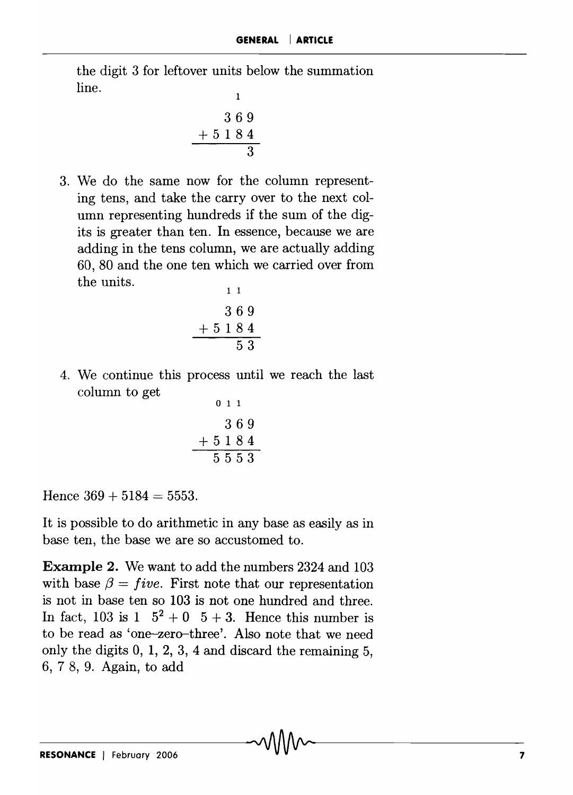the digit 3 for leftover units below the summation  $\lim_{n \to \infty}$  1

$$
\begin{array}{r} 369 \\
 +5184 \\
 \hline\n 3\n \end{array}
$$

3. We do the same now for the column representing tens, and take the carryover to the next column representing hundreds if the sum of the digits is greater than ten. **In** essence, because we are adding in the tens column, we are actually adding 60,80 and the one ten which we carried over from the units. 1 1

$$
\begin{array}{@{}c@{\hspace{1em}}c@{\hspace{1em}}c@{\hspace{1em}}c@{\hspace{1em}}c@{\hspace{1em}}c@{\hspace{1em}}c@{\hspace{1em}}c@{\hspace{1em}}c@{\hspace{1em}}c@{\hspace{1em}}c@{\hspace{1em}}c@{\hspace{1em}}c@{\hspace{1em}}c@{\hspace{1em}}c@{\hspace{1em}}c@{\hspace{1em}}c@{\hspace{1em}}c@{\hspace{1em}}c@{\hspace{1em}}c@{\hspace{1em}}c@{\hspace{1em}}c@{\hspace{1em}}c@{\hspace{1em}}c@{\hspace{1em}}c@{\hspace{1em}}c@{\hspace{1em}}c@{\hspace{1em}}c@{\hspace{1em}}c@{\hspace{1em}}c@{\hspace{1em}}c@{\hspace{1em}}c@{\hspace{1em}}c@{\hspace{1em}}c@{\hspace{1em}}c@{\hspace{1em}}c@{\hspace{1em}}c@{\hspace{1em}}c@{\hspace{1em}}c@{\hspace{1em}}c@{\hspace{1em}}c@{\hspace{1em}}c@{\hspace{1em}}c@{\hspace{1em}}c@{\hspace{1em}}c@{\hspace{1em}}c@{\hspace{1em}}c@{\hspace{1em}}c@{\hspace{1em}}c@{\hspace{1em}}c@{\hspace{1em}}c@{\hspace{1em}}c@{\hspace{1em}}c@{\hspace{1em}}c@{\hspace{1em}}c@{\hspace{1em}}c@{\hspace{1em}}c@{\hspace{1em}}c@{\hspace{1em}}c@{\hspace{1em}}c@{\hspace{1em}}c@{\hspace{1em}}c@{\hspace{1em}}c@{\hspace{1em}}c@{\hspace{1em}}c@{\hspace{1em}}c@{\hspace{1em}}c@{\hspace{1em}}c@{\hspace{1em}}c@{\hspace{1em}}c@{\hspace{1em}}c@{\hspace{1em}}c@{\hspace{1em}}c@{\hspace{1em}}c@{\hspace{1em}}c@{\hspace{1em}}c@{\hspace{1em}}c@{\hspace{1em}}c@{\hspace{1em}}c@{\hspace{1em}}c@{\hspace{1em}}c@{\hspace{1em}}c@{\hspace{1em}}c@{\hspace{1em}}c@{\hspace{
$$

4. We continue this process until we reach the last column to get

$$
\begin{array}{@{}c@{\hspace{1em}}c@{\hspace{1em}}c@{\hspace{1em}}c@{\hspace{1em}}c@{\hspace{1em}}c@{\hspace{1em}}c@{\hspace{1em}}c@{\hspace{1em}}c@{\hspace{1em}}c@{\hspace{1em}}c@{\hspace{1em}}c@{\hspace{1em}}c@{\hspace{1em}}c@{\hspace{1em}}c@{\hspace{1em}}c@{\hspace{1em}}c@{\hspace{1em}}c@{\hspace{1em}}c@{\hspace{1em}}c@{\hspace{1em}}c@{\hspace{1em}}c@{\hspace{1em}}c@{\hspace{1em}}c@{\hspace{1em}}c@{\hspace{1em}}c@{\hspace{1em}}c@{\hspace{1em}}c@{\hspace{1em}}c@{\hspace{1em}}c@{\hspace{1em}}c@{\hspace{1em}}c@{\hspace{1em}}c@{\hspace{1em}}c@{\hspace{1em}}c@{\hspace{1em}}c@{\hspace{1em}}c@{\hspace{1em}}c@{\hspace{1em}}c@{\hspace{1em}}c@{\hspace{1em}}c@{\hspace{1em}}c@{\hspace{1em}}c@{\hspace{1em}}c@{\hspace{1em}}c@{\hspace{1em}}c@{\hspace{1em}}c@{\hspace{1em}}c@{\hspace{1em}}c@{\hspace{1em}}c@{\hspace{1em}}c@{\hspace{1em}}c@{\hspace{1em}}c@{\hspace{1em}}c@{\hspace{1em}}c@{\hspace{1em}}c@{\hspace{1em}}c@{\hspace{1em}}c@{\hspace{1em}}c@{\hspace{1em}}c@{\hspace{1em}}c@{\hspace{1em}}c@{\hspace{1em}}c@{\hspace{1em}}c@{\hspace{1em}}c@{\hspace{1em}}c@{\hspace{1em}}c@{\hspace{1em}}c@{\hspace{1em}}c@{\hspace{1em}}c@{\hspace{1em}}c@{\hspace{1em}}c@{\hspace{1em}}c@{\hspace{1em}}c@{\hspace{1em}}c@{\hspace{1em}}c@{\hspace{1em}}c@{\hspace{1em}}c@{\hspace{1em}}c@{\hspace{1em}}c@{\hspace{1em}}c@{\hspace{1em}}c@{\hspace{1em}}c@{\hspace{1em}}c@{\hspace{
$$

Hence  $369 + 5184 = 5553$ .

It is possible to do arithmetic in any base as easily as in base ten, the base we are so accustomed to.

**Example 2.** We want to add the numbers 2324 and 103 with base  $\beta = \text{five}$ . First note that our representation is not in base ten so 103 is not one hundred and three. In fact, 103 is  $1\quad 5^2 + 0 \quad 5 + 3$ . Hence this number is to be read as 'one-zero-three'. Also note that we need only the digits 0, 1, 2, 3, 4 and discard the remaining 5, 6, 7 8, 9. Again, to add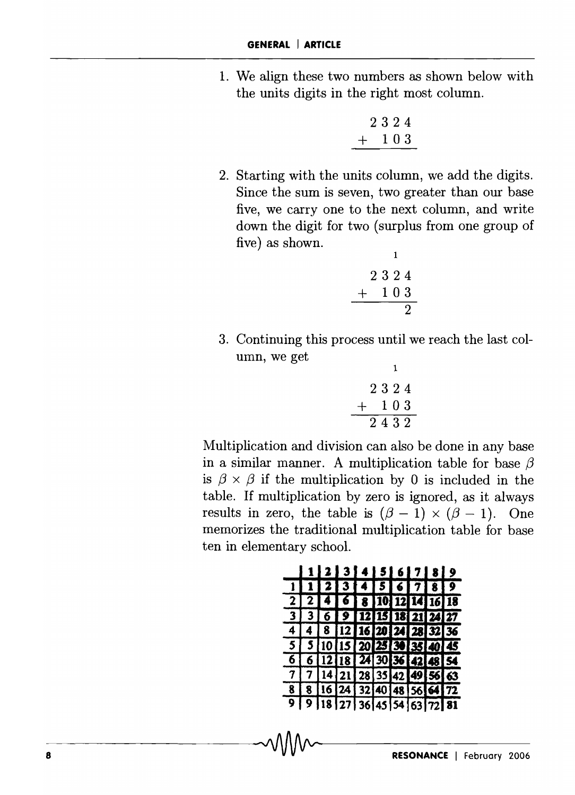1. We align these two numbers as shown below with the units digits in the right most column.

$$
\begin{array}{c}\n 2324 \\
 + 103\n \end{array}
$$

2. Starting with the units column, we add the digits. Since the sum is seven, two greater than our base five, we carry one to the next column, and write down the digit for two (surplus from one group of five) as shown.

$$
\begin{array}{c}\n \phantom{-}1 \\
 2 \ 3 \ 2 \ 4 \\
 \underline{+} \ 1 \ 0 \ 3 \\
 \underline{2}\n \end{array}
$$

3. Continuing this process until we reach the last column, we get

$$
\begin{array}{@{}c@{\hspace{1em}}c@{\hspace{1em}}}\n & & & & & 1 \\
 & & 2 & 3 & 2 & 4 \\
 & & 1 & 0 & 3 \\
 \hline\n & 2 & 4 & 3 & 2\n \end{array}
$$

Multiplication and division can also be done in any base in a similar manner. A multiplication table for base  $\beta$ is  $\beta \times \beta$  if the multiplication by 0 is included in the table. If multiplication by zero is ignored, as it always results in zero, the table is  $({\beta} - 1) \times ({\beta} - 1)$ . One memorizes the traditional multiplication table for base ten in elementary school.

|  | 11233456789                 |  |  |  |  |
|--|-----------------------------|--|--|--|--|
|  | $1$ 1 2 3 4 5 6 7 8 9       |  |  |  |  |
|  | 2 2 4 6 8 10 12 14 16 18    |  |  |  |  |
|  | 3 3 6 9 12 15 18 21 24 27   |  |  |  |  |
|  | 4 4 8 12 16 20 24 28 32 36  |  |  |  |  |
|  | 5 5 10 15 20 25 30 35 40 45 |  |  |  |  |
|  | 6 6 12 18 24 30 36 42 48 54 |  |  |  |  |
|  | 7 7 14 21 28 35 42 49 56 63 |  |  |  |  |
|  | 8 8 16 24 32 40 48 56 64 72 |  |  |  |  |
|  | 9 9 18 27 36 45 54 63 72 81 |  |  |  |  |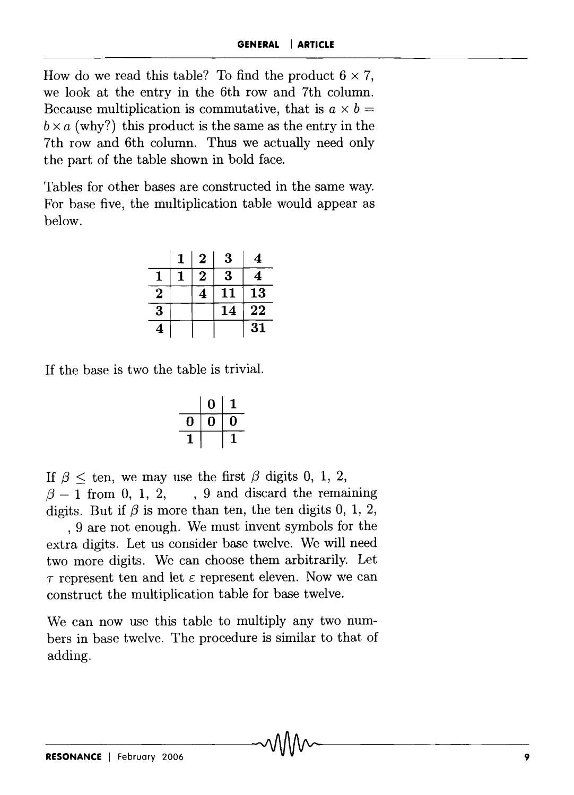How do we read this table? To find the product  $6 \times 7$ , we look at the entry in the 6th row and 7th column. Because multiplication is commutative, that is  $a \times b =$  $b \times a$  (why?) this product is the same as the entry in the 7th row and 6th column. Thus we actually need only the part of the table shown in bold face.

Tables for other bases are constructed in the same way. For base five, the multiplication table would appear as below.

|                | 1 | 2 | 3  | 4  |
|----------------|---|---|----|----|
|                |   | 2 | 3  | 4  |
| $\overline{2}$ |   |   |    | 13 |
| 3              |   |   | 14 | 22 |
|                |   |   |    | 31 |

If the base is two the table is trivial.

|    | N  | ı  |
|----|----|----|
| IJ | I. | I) |
|    |    |    |

If  $\beta$  < ten, we may use the first  $\beta$  digits 0, 1, 2,  ${3 - 1}$  from 0, 1, 2, , 9 and discard the remaining digits. But if  $\beta$  is more than ten, the ten digits 0, 1, 2,

, 9 are not enough. We must invent symbols for the extra digits. Let us consider base twelve. We will need two more digits. We can choose them arbitrarily. Let  $\tau$  represent ten and let  $\varepsilon$  represent eleven. Now we can construct the multiplication table for base twelve.

We can now use this table to multiply any two numbers in base twelve. The procedure is similar to that of adding.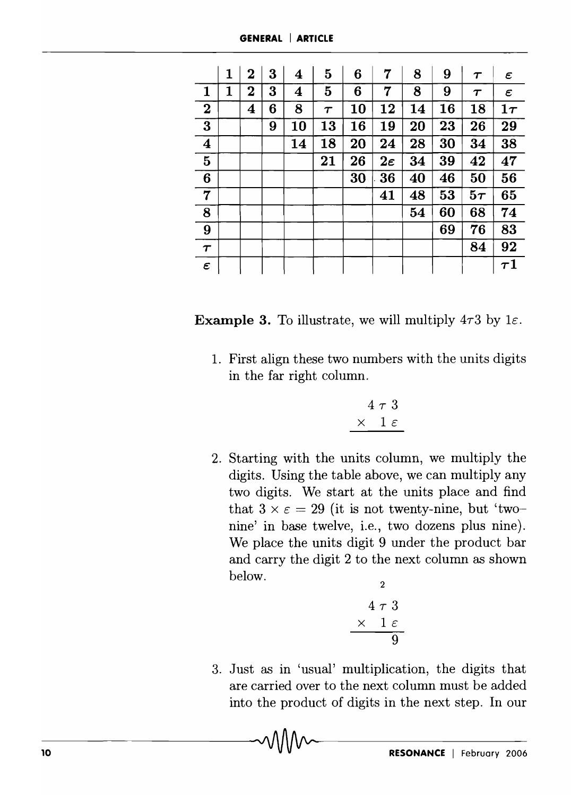|                     | 1 | 2           | 3 | 4  | 5      | 6  | 7              | 8  | 9  | $\tau$              | ε                    |
|---------------------|---|-------------|---|----|--------|----|----------------|----|----|---------------------|----------------------|
| $\mathbf{1}$        | 1 | $\mathbf 2$ | 3 | 4  | 5      | 6  | 7              | 8  | 9  | $\boldsymbol{\tau}$ | $\epsilon$           |
| $\boldsymbol{2}$    |   | 4           | 6 | 8  | $\tau$ | 10 | 12             | 14 | 16 | 18                  | $1\tau$              |
| $\bf{3}$            |   |             | 9 | 10 | 13     | 16 | 19             | 20 | 23 | 26                  | 29                   |
| $\boldsymbol{4}$    |   |             |   | 14 | 18     | 20 | 24             | 28 | 30 | 34                  | 38                   |
| $\bf{5}$            |   |             |   |    | 21     | 26 | $2\varepsilon$ | 34 | 39 | 42                  | 47                   |
| 6                   |   |             |   |    |        | 30 | 36             | 40 | 46 | 50                  | 56                   |
| $\overline{7}$      |   |             |   |    |        |    | 41             | 48 | 53 | $5\tau$             | 65                   |
| 8                   |   |             |   |    |        |    |                | 54 | 60 | 68                  | 74                   |
| 9                   |   |             |   |    |        |    |                |    | 69 | 76                  | 83                   |
| $\tau$              |   |             |   |    |        |    |                |    |    | 84                  | 92                   |
| $\pmb{\varepsilon}$ |   |             |   |    |        |    |                |    |    |                     | $\boldsymbol{\tau1}$ |

| <b>Example 3.</b> To illustrate, we will multiply $4\tau 3$ by $1\epsilon$ . |  |  |  |  |  |  |  |  |
|------------------------------------------------------------------------------|--|--|--|--|--|--|--|--|
|------------------------------------------------------------------------------|--|--|--|--|--|--|--|--|

1. First align these two numbers with the units digits in the far right column.

$$
\begin{array}{c}\n4 \tau 3 \\
\times 1 \epsilon\n\end{array}
$$

2. Starting with the units column, we multiply the digits. Using the table above, we can multiply any two digits. We start at the units place and find that  $3 \times \varepsilon = 29$  (it is not twenty-nine, but 'twonine' in base twelve, i.e., two dozens plus nine). We place the units digit 9 under the product bar and carry the digit 2 to the next column as shown below.  $\overline{2}$ 

$$
\begin{array}{c}\n4 \tau \ 3 \\
\times \ 1 \ \varepsilon \\
\hline\n9\n\end{array}
$$

3. Just as in 'usual' multiplication, the digits that are carried over to the next column must be added into the product of digits in the next step. In our

-o--------------------------~---------------------------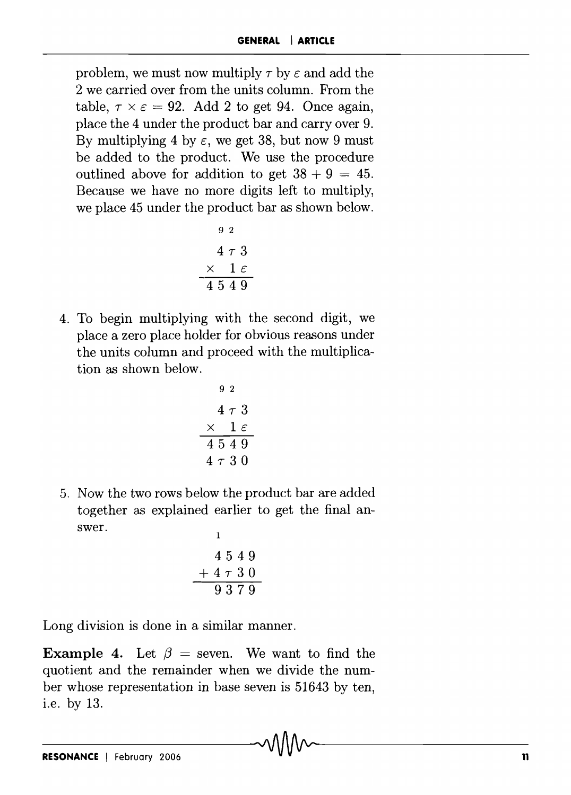problem, we must now multiply  $\tau$  by  $\varepsilon$  and add the 2 we carried over from the units column. From the table,  $\tau \times \epsilon = 92$ . Add 2 to get 94. Once again, place the 4 under the product bar and carryover 9. By multiplying 4 by  $\varepsilon$ , we get 38, but now 9 must be added to the product. We use the procedure outlined above for addition to get  $38 + 9 = 45$ . Because we have no more digits left to multiply, we place 45 under the product bar as shown below.

$$
\begin{array}{c}\n9 & 2 \\
4 & \tau & 3 \\
\times & 1 & \varepsilon \\
\hline\n4 & 5 & 4 & 9\n\end{array}
$$

4. To begin multiplying with the second digit, we place a zero place holder for obvious reasons under the units column and proceed with the multiplication as shown below.

$$
\begin{array}{c}\n9 & 2 \\
4 & \tau & 3 \\
\times & 1 & \varepsilon \\
4 & 5 & 4 & 9 \\
4 & \tau & 3 & 0\n\end{array}
$$

5. Now the two rows below the product bar are added together as explained earlier to get the final answer.

$$
\begin{array}{c}\n1 \\
4549 \\
+4730 \\
\hline\n9379\n\end{array}
$$

Long division is done in a similar manner.

**Example 4.** Let  $\beta$  = seven. We want to find the quotient and the remainder when we divide the number whose representation in base seven is 51643 by ten, i.e. by 13.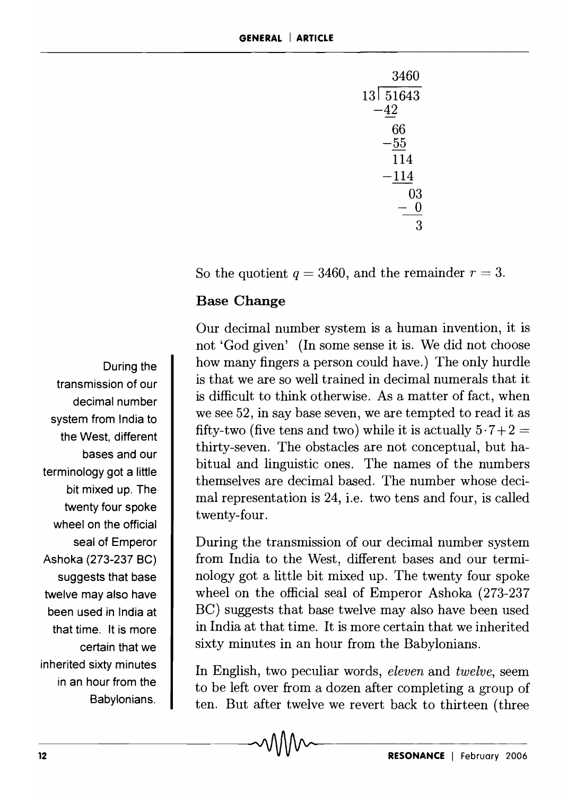| 3460      |
|-----------|
| 13  51643 |
| $-42$     |
| 66        |
| -55       |
| 114       |
| $-114\,$  |
| 03        |
|           |
|           |

So the quotient  $q = 3460$ , and the remainder  $r = 3$ .

#### Base Change

Our decimal number system is a human invention, it is not 'God given' (In some sense it is. We did not choose how many fingers a person could have.) The only hurdle is that we are so well trained in decimal numerals that it is difficult to think otherwise. As a matter of fact, when we see 52, in say base seven, we are tempted to read it as fifty-two (five tens and two) while it is actually  $5 \cdot 7 + 2 =$ thirty-seven. The obstacles are not conceptual, but habitual and linguistic ones. The names of the numbers themselves are decimal based. The number whose decimal representation is 24, i.e. two tens and four, is called twenty-four.

During the transmission of our decimal number system from India to the West, different bases and our terminology got a little bit mixed up. The twenty four spoke wheel on the official seal of Emperor Ashoka (273-237 BC) suggests that base twelve may also have been used in India at that time. It is more certain that we inherited sixty minutes in an hour from the Babylonians.

In English, two peculiar words, *eleven* and *twelve,* seem to be left over from a dozen after completing a group of ten. But after twelve we revert back to thirteen (three

-2----------------------------~----------------------------

During the transmission of our decimal number system from India to the West, different bases and our terminology got a little bit mixed up. The twenty four spoke wheel on the official seal of Emperor Ashoka (273-237 BC) suggests that base twelve may also have been used in India at that time. It is more certain that we inherited sixty minutes in an hour from the Babylonians.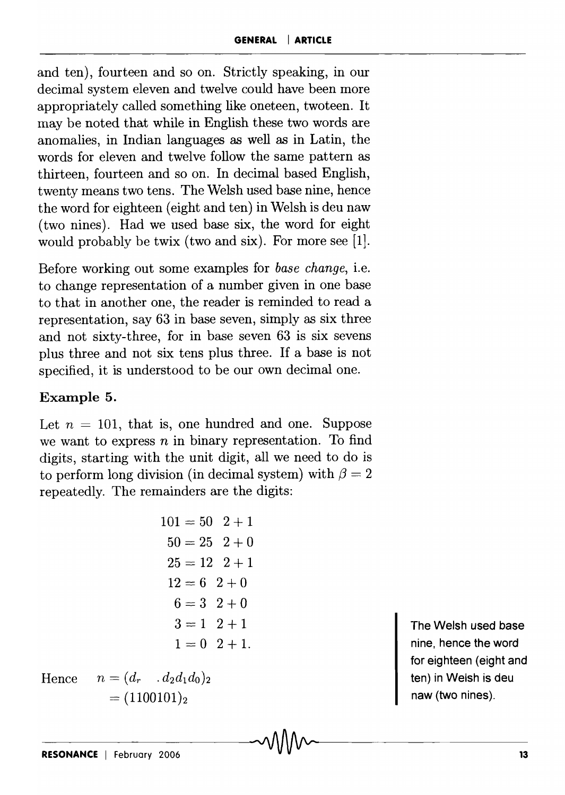and ten), fourteen and so on. Strictly speaking, in our decimal system eleven and twelve could have been more appropriately called something like oneteen, twoteen. It may be noted that while in English these two words are anomalies, in Indian languages as well as in Latin, the words for eleven and twelve follow the same pattern as thirteen, fourteen and so on. In decimal based English, twenty means two tens. The Welsh used base nine, hence the word for eighteen (eight and ten) in Welsh is deu naw (two nines). Had we used base six, the word for eight would probably be twix (two and six). For more see (1].

Before working out some examples for *base change,* i.e. to change representation of a number given in one base to that in another one, the reader is reminded to read a representation, say 63 in base seven, simply as six three and not sixty-three, for in base seven 63 is six sevens plus three and not six tens plus three. If a base is not specified, it is understood to be our own decimal one.

## Example 5.

Let  $n = 101$ , that is, one hundred and one. Suppose we want to express *n* in binary representation. To find digits, starting with the unit digit, all we need to do is to perform long division (in decimal system) with  $\beta = 2$ repeatedly. The remainders are the digits:

$$
101 = 50 \quad 2 + 1
$$
  
\n
$$
50 = 25 \quad 2 + 0
$$
  
\n
$$
25 = 12 \quad 2 + 1
$$
  
\n
$$
12 = 6 \quad 2 + 0
$$
  
\n
$$
6 = 3 \quad 2 + 0
$$
  
\n
$$
3 = 1 \quad 2 + 1
$$
  
\n
$$
1 = 0 \quad 2 + 1.
$$

Hence  $n = (d_r, d_2d_1d_0)_2$  $= (1100101)_2$ 

The Welsh used base nine, hence the word for eighteen (eight and ten) in Welsh is deu naw (two nines).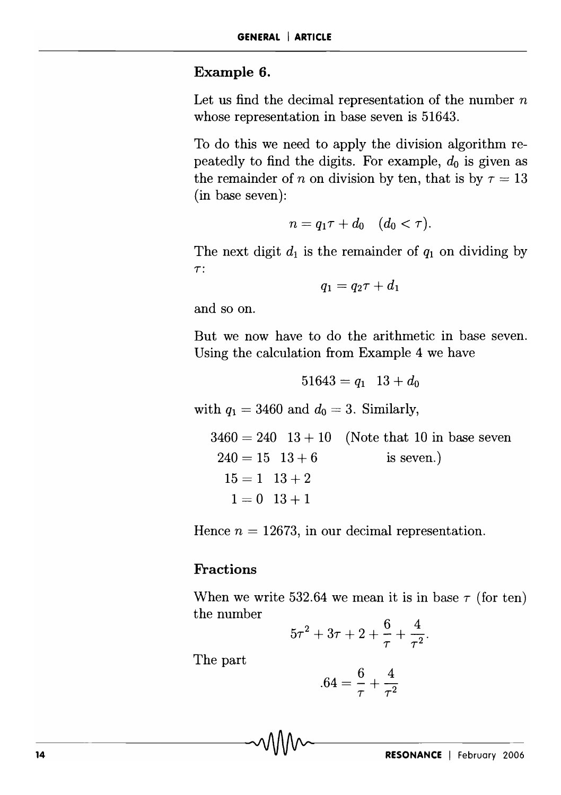#### **Example 6.**

Let us find the decimal representation of the number *n*  whose representation in base seven is 51643.

To do this we need to apply the division algorithm repeatedly to find the digits. For example, *do* is given as the remainder of *n* on division by ten, that is by  $\tau = 13$ (in base seven):

$$
n=q_1\tau+d_0\quad (d_0<\tau).
$$

The next digit  $d_1$  is the remainder of  $q_1$  on dividing by  $\tau$ :

$$
q_1 = q_2 \tau + d_1
$$

and so on.

But we now have to do the arithmetic in base seven. Using the calculation from Example 4 we have

$$
51643 = q_1 \t 13 + d_0
$$
  
with  $q_1 = 3460$  and  $d_0 = 3$ . Similarly,  

$$
3460 = 240 \t 13 + 10 \t (Note that 10 in base seven
$$
240 = 15 \t 13 + 6 \t is seven.)
$$

$$
15 = 1 \t 13 + 2
$$

$$
1 = 0 \t 13 + 1
$$
$$

Hence  $n = 12673$ , in our decimal representation.

#### **Fractions**

When we write 532.64 we mean it is in base  $\tau$  (for ten) the number

$$
5\tau^2 + 3\tau + 2 + \frac{6}{\tau} + \frac{4}{\tau^2}.
$$

The part

$$
.64 = \frac{6}{\tau} + \frac{4}{\tau^2}
$$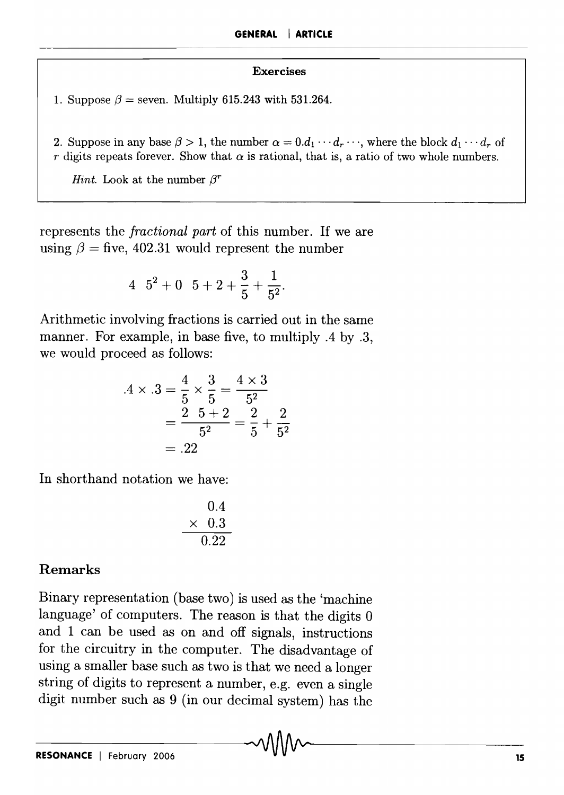#### Exercises

1. Suppose  $\beta$  = seven. Multiply 615.243 with 531.264.

2. Suppose in any base  $\beta > 1$ , the number  $\alpha = 0.d_1 \cdots d_r \cdots$ , where the block  $d_1 \cdots d_r$  of r digits repeats forever. Show that  $\alpha$  is rational, that is, a ratio of two whole numbers.

*Hint.* Look at the number  $\beta^r$ 

represents the *fractional part* of this number. If we are using  $\beta =$  five, 402.31 would represent the number

$$
4 \quad 5^2 + 0 \quad 5 + 2 + \frac{3}{5} + \frac{1}{5^2}.
$$

Arithmetic involving fractions is carried out in the same manner. For example, in base five, to multiply .4 by .3, we would proceed as follows:

$$
.4 \times .3 = \frac{4}{5} \times \frac{3}{5} = \frac{4 \times 3}{5^2}
$$
  
=  $\frac{2 \cdot 5 + 2}{5^2} = \frac{2}{5} + \frac{2}{5^2}$   
= .22

In shorthand notation we have:

$$
\begin{array}{r}0.4\\\times&0.3\\\hline 0.22\end{array}
$$

### Remarks

Binary representation (base two) is used as the 'machine language' of computers. The reason is that the digits 0 and 1 can be used as on and off signals, instructions for the circuitry in the computer. The disadvantage of using a smaller base such as two is that we need a longer string of digits to represent a number, e.g. even a single digit number such as 9 (in our decimal system) has the